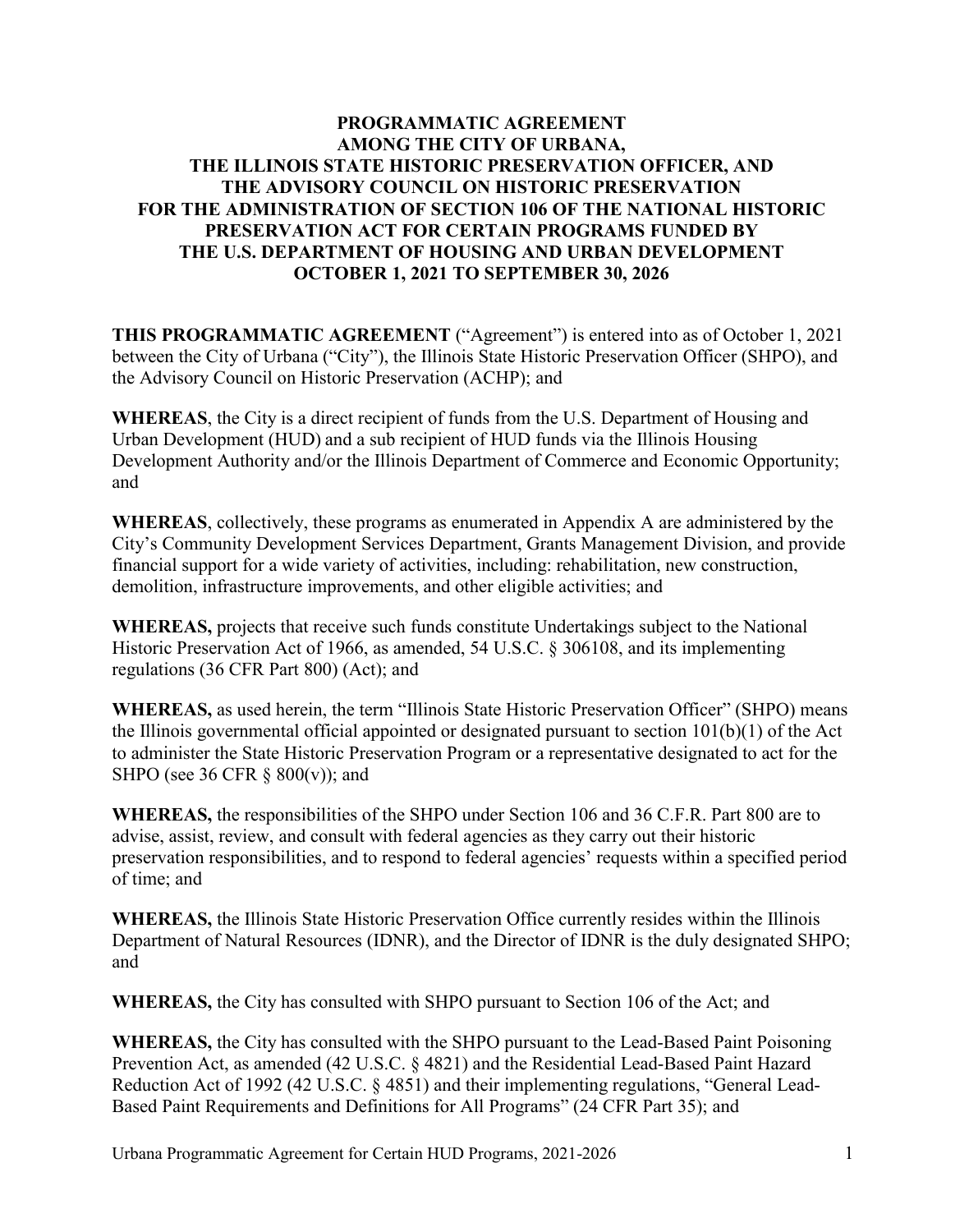## **PROGRAMMATIC AGREEMENT AMONG THE CITY OF URBANA, THE ILLINOIS STATE HISTORIC PRESERVATION OFFICER, AND THE ADVISORY COUNCIL ON HISTORIC PRESERVATION FOR THE ADMINISTRATION OF SECTION 106 OF THE NATIONAL HISTORIC PRESERVATION ACT FOR CERTAIN PROGRAMS FUNDED BY THE U.S. DEPARTMENT OF HOUSING AND URBAN DEVELOPMENT OCTOBER 1, 2021 TO SEPTEMBER 30, 2026**

**THIS PROGRAMMATIC AGREEMENT** ("Agreement") is entered into as of October 1, 2021 between the City of Urbana ("City"), the Illinois State Historic Preservation Officer (SHPO), and the Advisory Council on Historic Preservation (ACHP); and

**WHEREAS**, the City is a direct recipient of funds from the U.S. Department of Housing and Urban Development (HUD) and a sub recipient of HUD funds via the Illinois Housing Development Authority and/or the Illinois Department of Commerce and Economic Opportunity; and

**WHEREAS**, collectively, these programs as enumerated in Appendix A are administered by the City's Community Development Services Department, Grants Management Division, and provide financial support for a wide variety of activities, including: rehabilitation, new construction, demolition, infrastructure improvements, and other eligible activities; and

**WHEREAS,** projects that receive such funds constitute Undertakings subject to the National Historic Preservation Act of 1966, as amended, 54 U.S.C. § 306108, and its implementing regulations (36 CFR Part 800) (Act); and

**WHEREAS,** as used herein, the term "Illinois State Historic Preservation Officer" (SHPO) means the Illinois governmental official appointed or designated pursuant to section 101(b)(1) of the Act to administer the State Historic Preservation Program or a representative designated to act for the SHPO (see 36 CFR  $\S$  800(v)); and

**WHEREAS,** the responsibilities of the SHPO under Section 106 and 36 C.F.R. Part 800 are to advise, assist, review, and consult with federal agencies as they carry out their historic preservation responsibilities, and to respond to federal agencies' requests within a specified period of time; and

**WHEREAS,** the Illinois State Historic Preservation Office currently resides within the Illinois Department of Natural Resources (IDNR), and the Director of IDNR is the duly designated SHPO; and

**WHEREAS,** the City has consulted with SHPO pursuant to Section 106 of the Act; and

**WHEREAS,** the City has consulted with the SHPO pursuant to the Lead-Based Paint Poisoning Prevention Act, as amended (42 U.S.C. § 4821) and the Residential Lead-Based Paint Hazard Reduction Act of 1992 (42 U.S.C. § 4851) and their implementing regulations, "General Lead-Based Paint Requirements and Definitions for All Programs" (24 CFR Part 35); and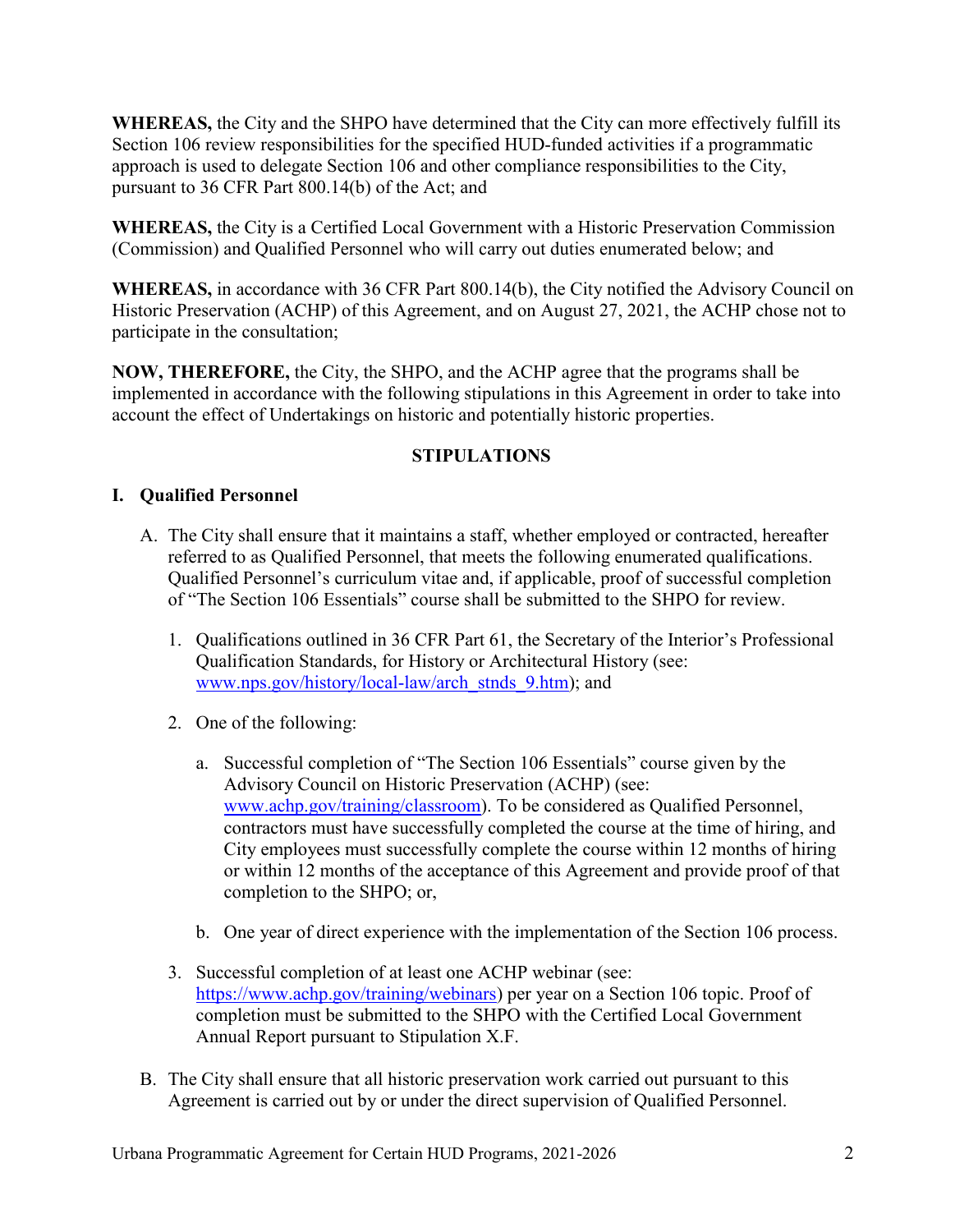**WHEREAS,** the City and the SHPO have determined that the City can more effectively fulfill its Section 106 review responsibilities for the specified HUD-funded activities if a programmatic approach is used to delegate Section 106 and other compliance responsibilities to the City, pursuant to 36 CFR Part 800.14(b) of the Act; and

**WHEREAS,** the City is a Certified Local Government with a Historic Preservation Commission (Commission) and Qualified Personnel who will carry out duties enumerated below; and

**WHEREAS,** in accordance with 36 CFR Part 800.14(b), the City notified the Advisory Council on Historic Preservation (ACHP) of this Agreement, and on August 27, 2021, the ACHP chose not to participate in the consultation;

**NOW, THEREFORE,** the City, the SHPO, and the ACHP agree that the programs shall be implemented in accordance with the following stipulations in this Agreement in order to take into account the effect of Undertakings on historic and potentially historic properties.

# **STIPULATIONS**

# **I. Qualified Personnel**

- A. The City shall ensure that it maintains a staff, whether employed or contracted, hereafter referred to as Qualified Personnel, that meets the following enumerated qualifications. Qualified Personnel's curriculum vitae and, if applicable, proof of successful completion of "The Section 106 Essentials" course shall be submitted to the SHPO for review.
	- 1. Qualifications outlined in 36 CFR Part 61, the Secretary of the Interior's Professional Qualification Standards, for History or Architectural History (see: [www.nps.gov/history/local-law/arch\\_stnds\\_9.htm\)](http://www.nps.gov/history/local-law/arch_stnds_9.htm); and
	- 2. One of the following:
		- a. Successful completion of "The Section 106 Essentials" course given by the Advisory Council on Historic Preservation (ACHP) (see: [www.achp.gov/training/classroom\)](http://www.achp.gov/training/classroom). To be considered as Qualified Personnel, contractors must have successfully completed the course at the time of hiring, and City employees must successfully complete the course within 12 months of hiring or within 12 months of the acceptance of this Agreement and provide proof of that completion to the SHPO; or,
		- b. One year of direct experience with the implementation of the Section 106 process.
	- 3. Successful completion of at least one ACHP webinar (see: [https://www.achp.gov/training/webinars\)](https://www.achp.gov/training/webinars) per year on a Section 106 topic. Proof of completion must be submitted to the SHPO with the Certified Local Government Annual Report pursuant to Stipulation X.F.
- B. The City shall ensure that all historic preservation work carried out pursuant to this Agreement is carried out by or under the direct supervision of Qualified Personnel.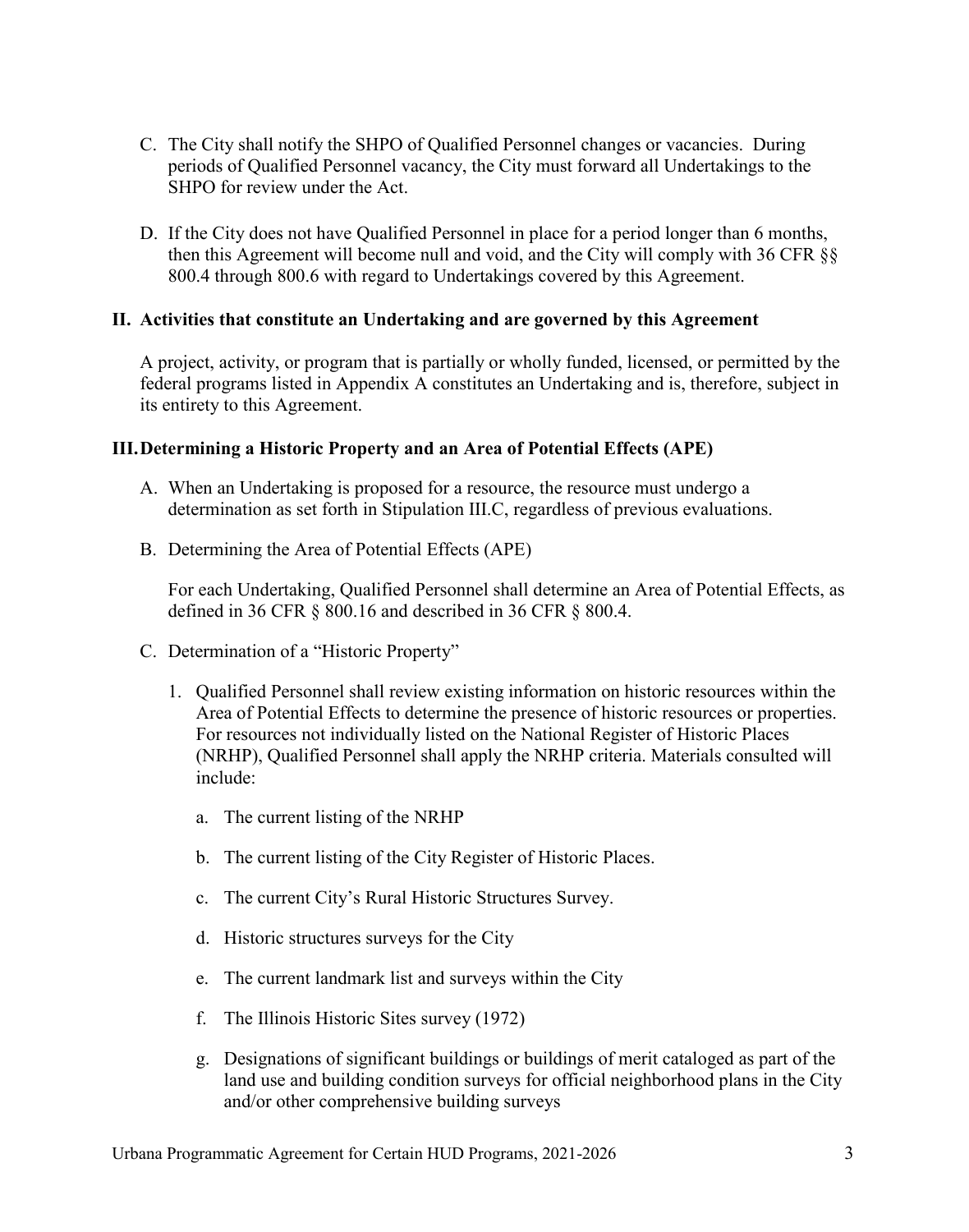- C. The City shall notify the SHPO of Qualified Personnel changes or vacancies. During periods of Qualified Personnel vacancy, the City must forward all Undertakings to the SHPO for review under the Act.
- D. If the City does not have Qualified Personnel in place for a period longer than 6 months, then this Agreement will become null and void, and the City will comply with 36 CFR §§ 800.4 through 800.6 with regard to Undertakings covered by this Agreement.

### **II. Activities that constitute an Undertaking and are governed by this Agreement**

A project, activity, or program that is partially or wholly funded, licensed, or permitted by the federal programs listed in Appendix A constitutes an Undertaking and is, therefore, subject in its entirety to this Agreement.

### **III.Determining a Historic Property and an Area of Potential Effects (APE)**

- A. When an Undertaking is proposed for a resource, the resource must undergo a determination as set forth in Stipulation III.C, regardless of previous evaluations.
- B. Determining the Area of Potential Effects (APE)

For each Undertaking, Qualified Personnel shall determine an Area of Potential Effects, as defined in 36 CFR § 800.16 and described in 36 CFR § 800.4.

- C. Determination of a "Historic Property"
	- 1. Qualified Personnel shall review existing information on historic resources within the Area of Potential Effects to determine the presence of historic resources or properties. For resources not individually listed on the National Register of Historic Places (NRHP), Qualified Personnel shall apply the NRHP criteria. Materials consulted will include:
		- a. The current listing of the NRHP
		- b. The current listing of the City Register of Historic Places.
		- c. The current City's Rural Historic Structures Survey.
		- d. Historic structures surveys for the City
		- e. The current landmark list and surveys within the City
		- f. The Illinois Historic Sites survey (1972)
		- g. Designations of significant buildings or buildings of merit cataloged as part of the land use and building condition surveys for official neighborhood plans in the City and/or other comprehensive building surveys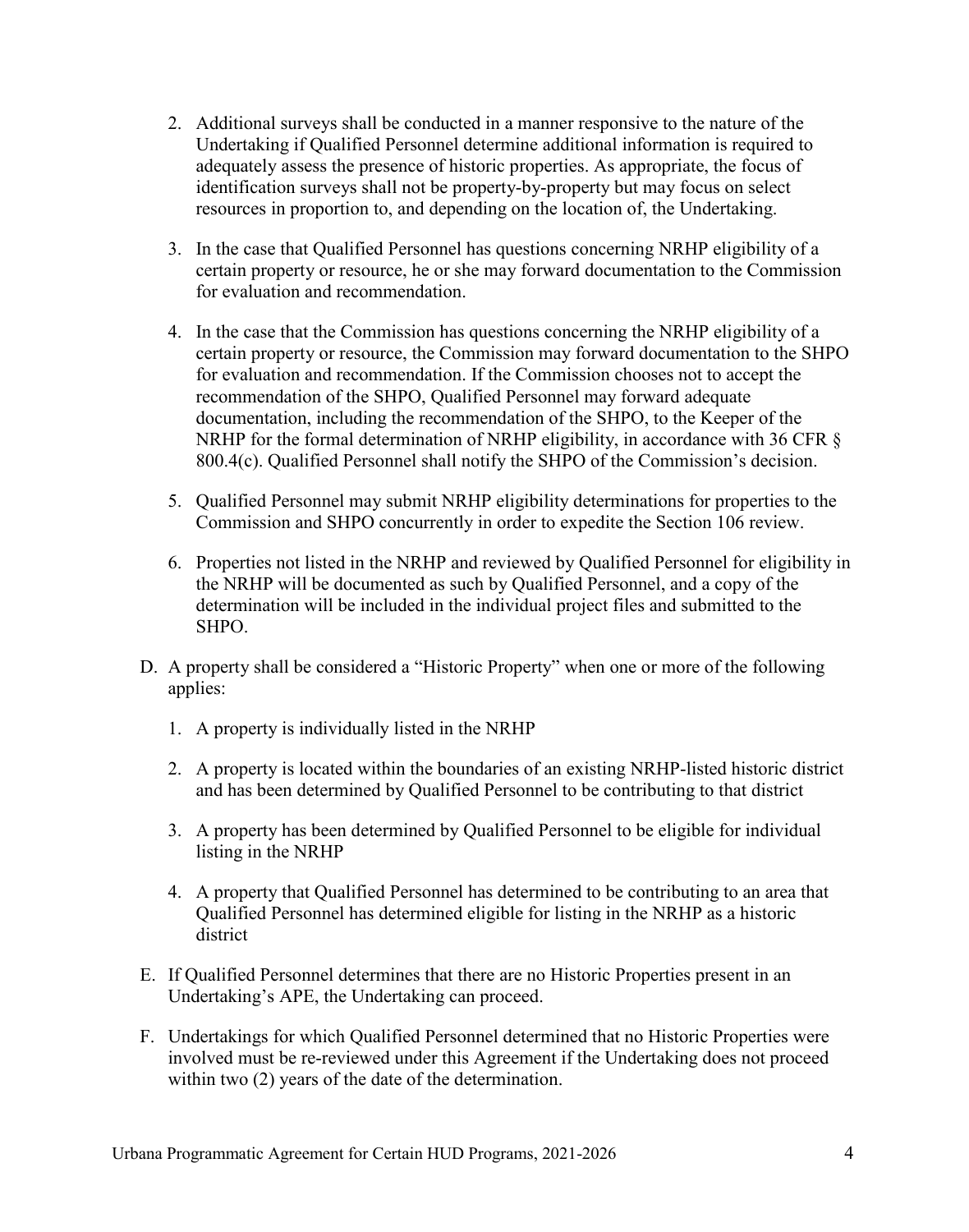- 2. Additional surveys shall be conducted in a manner responsive to the nature of the Undertaking if Qualified Personnel determine additional information is required to adequately assess the presence of historic properties. As appropriate, the focus of identification surveys shall not be property-by-property but may focus on select resources in proportion to, and depending on the location of, the Undertaking.
- 3. In the case that Qualified Personnel has questions concerning NRHP eligibility of a certain property or resource, he or she may forward documentation to the Commission for evaluation and recommendation.
- 4. In the case that the Commission has questions concerning the NRHP eligibility of a certain property or resource, the Commission may forward documentation to the SHPO for evaluation and recommendation. If the Commission chooses not to accept the recommendation of the SHPO, Qualified Personnel may forward adequate documentation, including the recommendation of the SHPO, to the Keeper of the NRHP for the formal determination of NRHP eligibility, in accordance with 36 CFR § 800.4(c). Qualified Personnel shall notify the SHPO of the Commission's decision.
- 5. Qualified Personnel may submit NRHP eligibility determinations for properties to the Commission and SHPO concurrently in order to expedite the Section 106 review.
- 6. Properties not listed in the NRHP and reviewed by Qualified Personnel for eligibility in the NRHP will be documented as such by Qualified Personnel, and a copy of the determination will be included in the individual project files and submitted to the SHPO.
- D. A property shall be considered a "Historic Property" when one or more of the following applies:
	- 1. A property is individually listed in the NRHP
	- 2. A property is located within the boundaries of an existing NRHP-listed historic district and has been determined by Qualified Personnel to be contributing to that district
	- 3. A property has been determined by Qualified Personnel to be eligible for individual listing in the NRHP
	- 4. A property that Qualified Personnel has determined to be contributing to an area that Qualified Personnel has determined eligible for listing in the NRHP as a historic district
- E. If Qualified Personnel determines that there are no Historic Properties present in an Undertaking's APE, the Undertaking can proceed.
- F. Undertakings for which Qualified Personnel determined that no Historic Properties were involved must be re-reviewed under this Agreement if the Undertaking does not proceed within two (2) years of the date of the determination.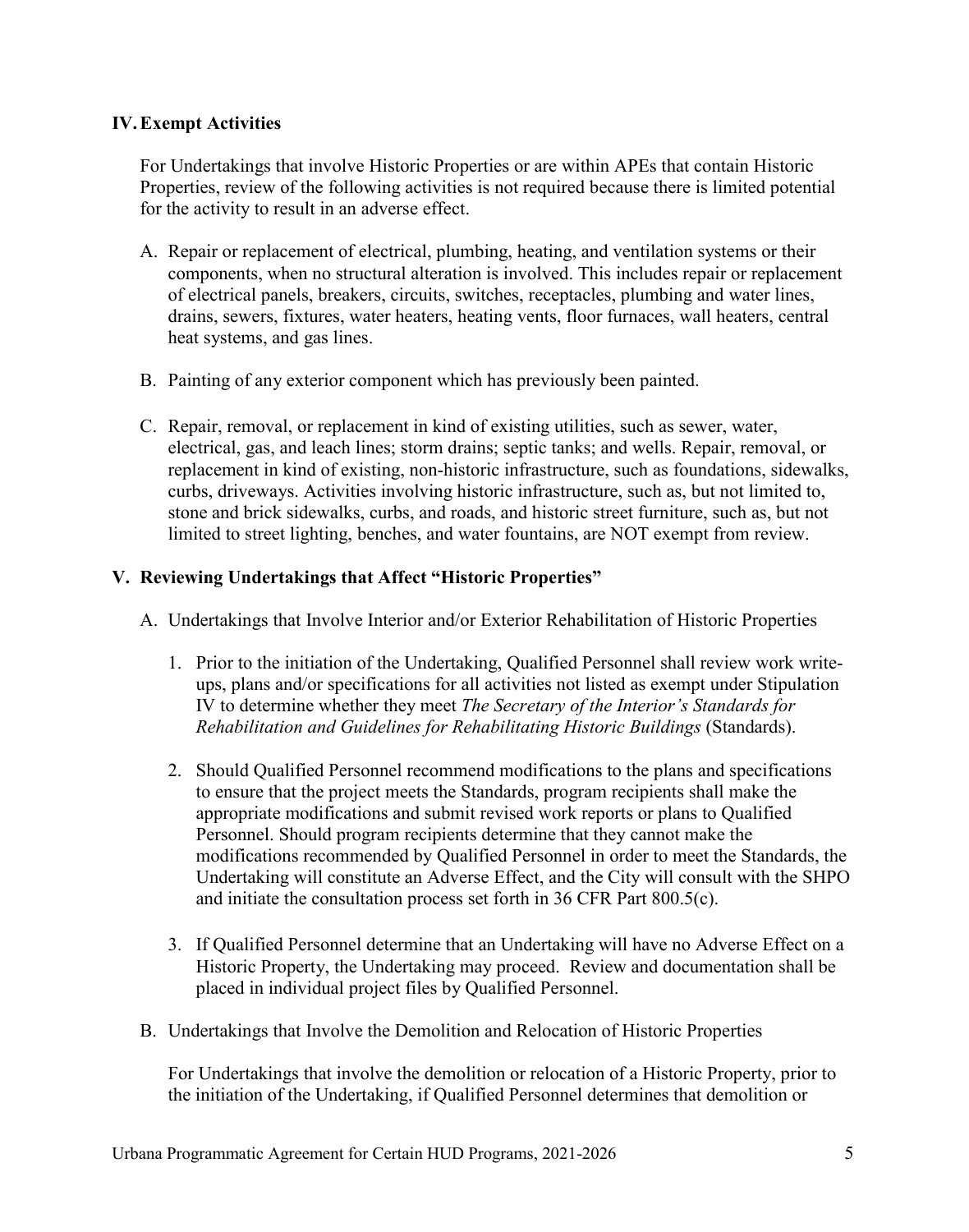## **IV.Exempt Activities**

For Undertakings that involve Historic Properties or are within APEs that contain Historic Properties, review of the following activities is not required because there is limited potential for the activity to result in an adverse effect.

- A. Repair or replacement of electrical, plumbing, heating, and ventilation systems or their components, when no structural alteration is involved. This includes repair or replacement of electrical panels, breakers, circuits, switches, receptacles, plumbing and water lines, drains, sewers, fixtures, water heaters, heating vents, floor furnaces, wall heaters, central heat systems, and gas lines.
- B. Painting of any exterior component which has previously been painted.
- C. Repair, removal, or replacement in kind of existing utilities, such as sewer, water, electrical, gas, and leach lines; storm drains; septic tanks; and wells. Repair, removal, or replacement in kind of existing, non-historic infrastructure, such as foundations, sidewalks, curbs, driveways. Activities involving historic infrastructure, such as, but not limited to, stone and brick sidewalks, curbs, and roads, and historic street furniture, such as, but not limited to street lighting, benches, and water fountains, are NOT exempt from review.

### **V. Reviewing Undertakings that Affect "Historic Properties"**

- A. Undertakings that Involve Interior and/or Exterior Rehabilitation of Historic Properties
	- 1. Prior to the initiation of the Undertaking, Qualified Personnel shall review work writeups, plans and/or specifications for all activities not listed as exempt under Stipulation IV to determine whether they meet *The Secretary of the Interior's Standards for Rehabilitation and Guidelines for Rehabilitating Historic Buildings* (Standards).
	- 2. Should Qualified Personnel recommend modifications to the plans and specifications to ensure that the project meets the Standards, program recipients shall make the appropriate modifications and submit revised work reports or plans to Qualified Personnel. Should program recipients determine that they cannot make the modifications recommended by Qualified Personnel in order to meet the Standards, the Undertaking will constitute an Adverse Effect, and the City will consult with the SHPO and initiate the consultation process set forth in 36 CFR Part 800.5(c).
	- 3. If Qualified Personnel determine that an Undertaking will have no Adverse Effect on a Historic Property, the Undertaking may proceed. Review and documentation shall be placed in individual project files by Qualified Personnel.
- B. Undertakings that Involve the Demolition and Relocation of Historic Properties

For Undertakings that involve the demolition or relocation of a Historic Property, prior to the initiation of the Undertaking, if Qualified Personnel determines that demolition or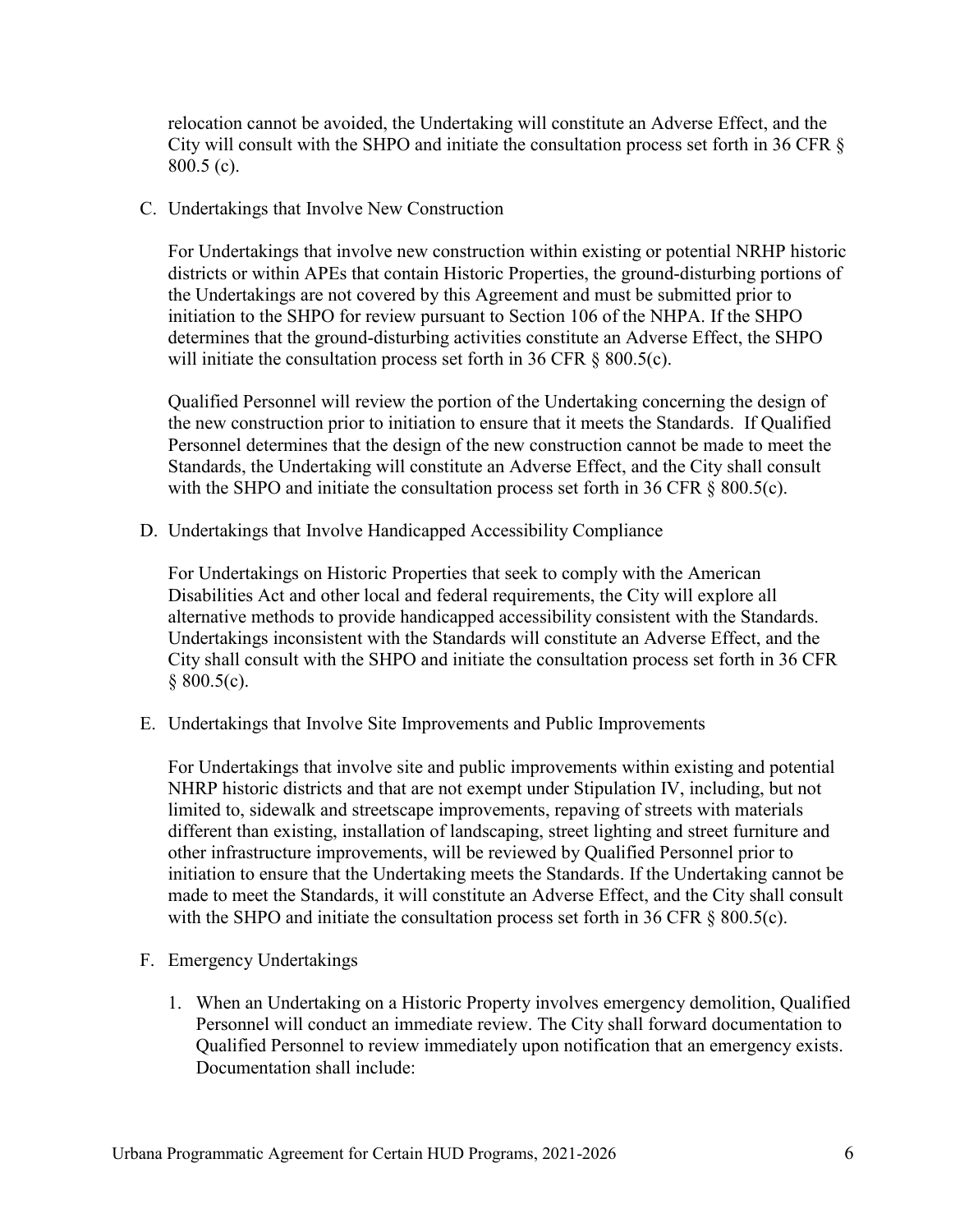relocation cannot be avoided, the Undertaking will constitute an Adverse Effect, and the City will consult with the SHPO and initiate the consultation process set forth in 36 CFR § 800.5 (c).

C. Undertakings that Involve New Construction

For Undertakings that involve new construction within existing or potential NRHP historic districts or within APEs that contain Historic Properties, the ground-disturbing portions of the Undertakings are not covered by this Agreement and must be submitted prior to initiation to the SHPO for review pursuant to Section 106 of the NHPA. If the SHPO determines that the ground-disturbing activities constitute an Adverse Effect, the SHPO will initiate the consultation process set forth in 36 CFR § 800.5(c).

Qualified Personnel will review the portion of the Undertaking concerning the design of the new construction prior to initiation to ensure that it meets the Standards. If Qualified Personnel determines that the design of the new construction cannot be made to meet the Standards, the Undertaking will constitute an Adverse Effect, and the City shall consult with the SHPO and initiate the consultation process set forth in 36 CFR § 800.5(c).

D. Undertakings that Involve Handicapped Accessibility Compliance

For Undertakings on Historic Properties that seek to comply with the American Disabilities Act and other local and federal requirements, the City will explore all alternative methods to provide handicapped accessibility consistent with the Standards. Undertakings inconsistent with the Standards will constitute an Adverse Effect, and the City shall consult with the SHPO and initiate the consultation process set forth in 36 CFR  $§ 800.5(c).$ 

E. Undertakings that Involve Site Improvements and Public Improvements

For Undertakings that involve site and public improvements within existing and potential NHRP historic districts and that are not exempt under Stipulation IV, including, but not limited to, sidewalk and streetscape improvements, repaving of streets with materials different than existing, installation of landscaping, street lighting and street furniture and other infrastructure improvements, will be reviewed by Qualified Personnel prior to initiation to ensure that the Undertaking meets the Standards. If the Undertaking cannot be made to meet the Standards, it will constitute an Adverse Effect, and the City shall consult with the SHPO and initiate the consultation process set forth in 36 CFR § 800.5(c).

- F. Emergency Undertakings
	- 1. When an Undertaking on a Historic Property involves emergency demolition, Qualified Personnel will conduct an immediate review. The City shall forward documentation to Qualified Personnel to review immediately upon notification that an emergency exists. Documentation shall include: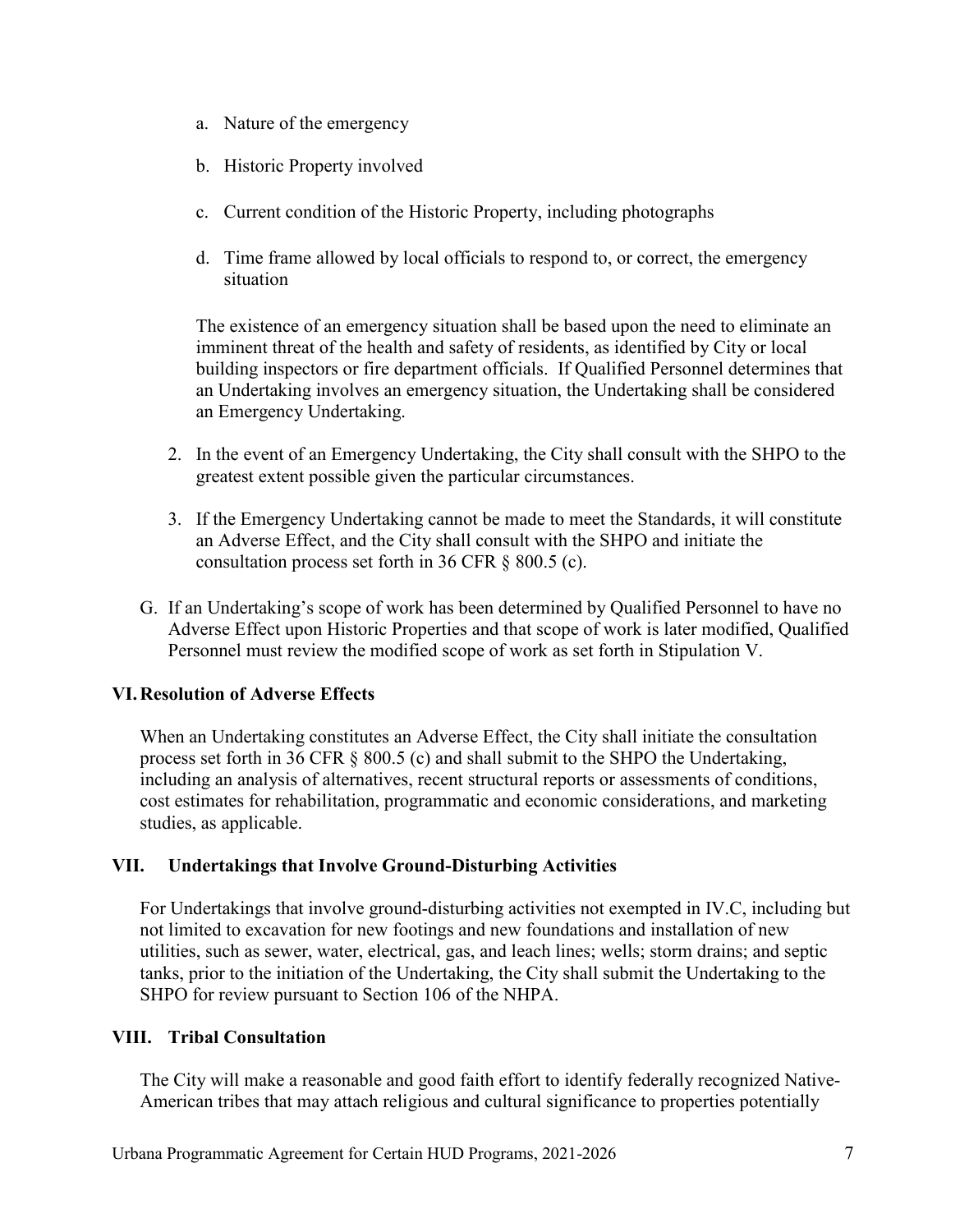- a. Nature of the emergency
- b. Historic Property involved
- c. Current condition of the Historic Property, including photographs
- d. Time frame allowed by local officials to respond to, or correct, the emergency situation

The existence of an emergency situation shall be based upon the need to eliminate an imminent threat of the health and safety of residents, as identified by City or local building inspectors or fire department officials. If Qualified Personnel determines that an Undertaking involves an emergency situation, the Undertaking shall be considered an Emergency Undertaking.

- 2. In the event of an Emergency Undertaking, the City shall consult with the SHPO to the greatest extent possible given the particular circumstances.
- 3. If the Emergency Undertaking cannot be made to meet the Standards, it will constitute an Adverse Effect, and the City shall consult with the SHPO and initiate the consultation process set forth in 36 CFR § 800.5 (c).
- G. If an Undertaking's scope of work has been determined by Qualified Personnel to have no Adverse Effect upon Historic Properties and that scope of work is later modified, Qualified Personnel must review the modified scope of work as set forth in Stipulation V.

## **VI.Resolution of Adverse Effects**

When an Undertaking constitutes an Adverse Effect, the City shall initiate the consultation process set forth in 36 CFR § 800.5 (c) and shall submit to the SHPO the Undertaking, including an analysis of alternatives, recent structural reports or assessments of conditions, cost estimates for rehabilitation, programmatic and economic considerations, and marketing studies, as applicable.

## **VII. Undertakings that Involve Ground-Disturbing Activities**

For Undertakings that involve ground-disturbing activities not exempted in IV.C, including but not limited to excavation for new footings and new foundations and installation of new utilities, such as sewer, water, electrical, gas, and leach lines; wells; storm drains; and septic tanks, prior to the initiation of the Undertaking, the City shall submit the Undertaking to the SHPO for review pursuant to Section 106 of the NHPA.

### **VIII. Tribal Consultation**

The City will make a reasonable and good faith effort to identify federally recognized Native-American tribes that may attach religious and cultural significance to properties potentially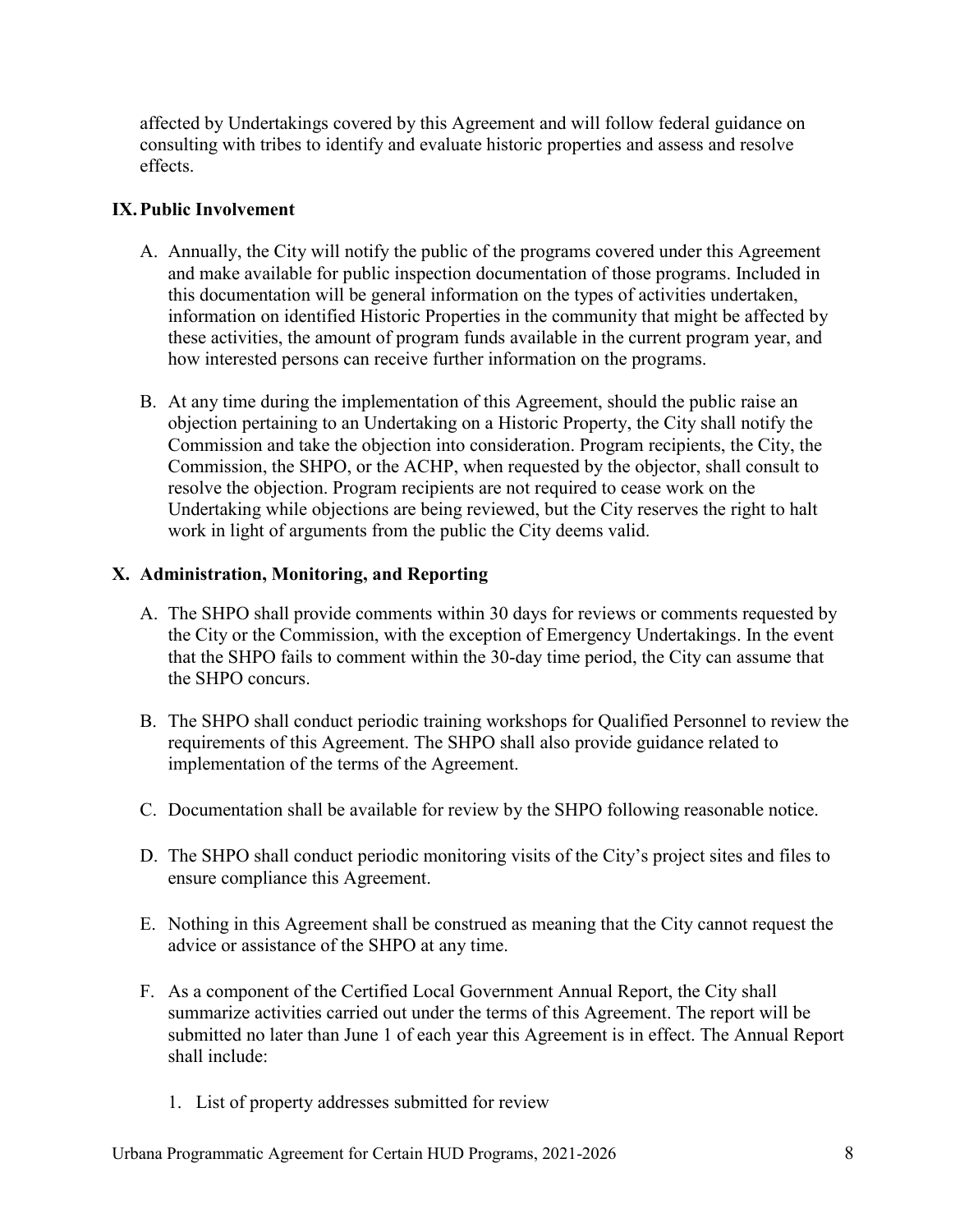affected by Undertakings covered by this Agreement and will follow federal guidance on consulting with tribes to identify and evaluate historic properties and assess and resolve effects.

## **IX.Public Involvement**

- A. Annually, the City will notify the public of the programs covered under this Agreement and make available for public inspection documentation of those programs. Included in this documentation will be general information on the types of activities undertaken, information on identified Historic Properties in the community that might be affected by these activities, the amount of program funds available in the current program year, and how interested persons can receive further information on the programs.
- B. At any time during the implementation of this Agreement, should the public raise an objection pertaining to an Undertaking on a Historic Property, the City shall notify the Commission and take the objection into consideration. Program recipients, the City, the Commission, the SHPO, or the ACHP, when requested by the objector, shall consult to resolve the objection. Program recipients are not required to cease work on the Undertaking while objections are being reviewed, but the City reserves the right to halt work in light of arguments from the public the City deems valid.

## **X. Administration, Monitoring, and Reporting**

- A. The SHPO shall provide comments within 30 days for reviews or comments requested by the City or the Commission, with the exception of Emergency Undertakings. In the event that the SHPO fails to comment within the 30-day time period, the City can assume that the SHPO concurs.
- B. The SHPO shall conduct periodic training workshops for Qualified Personnel to review the requirements of this Agreement. The SHPO shall also provide guidance related to implementation of the terms of the Agreement.
- C. Documentation shall be available for review by the SHPO following reasonable notice.
- D. The SHPO shall conduct periodic monitoring visits of the City's project sites and files to ensure compliance this Agreement.
- E. Nothing in this Agreement shall be construed as meaning that the City cannot request the advice or assistance of the SHPO at any time.
- F. As a component of the Certified Local Government Annual Report, the City shall summarize activities carried out under the terms of this Agreement. The report will be submitted no later than June 1 of each year this Agreement is in effect. The Annual Report shall include:
	- 1. List of property addresses submitted for review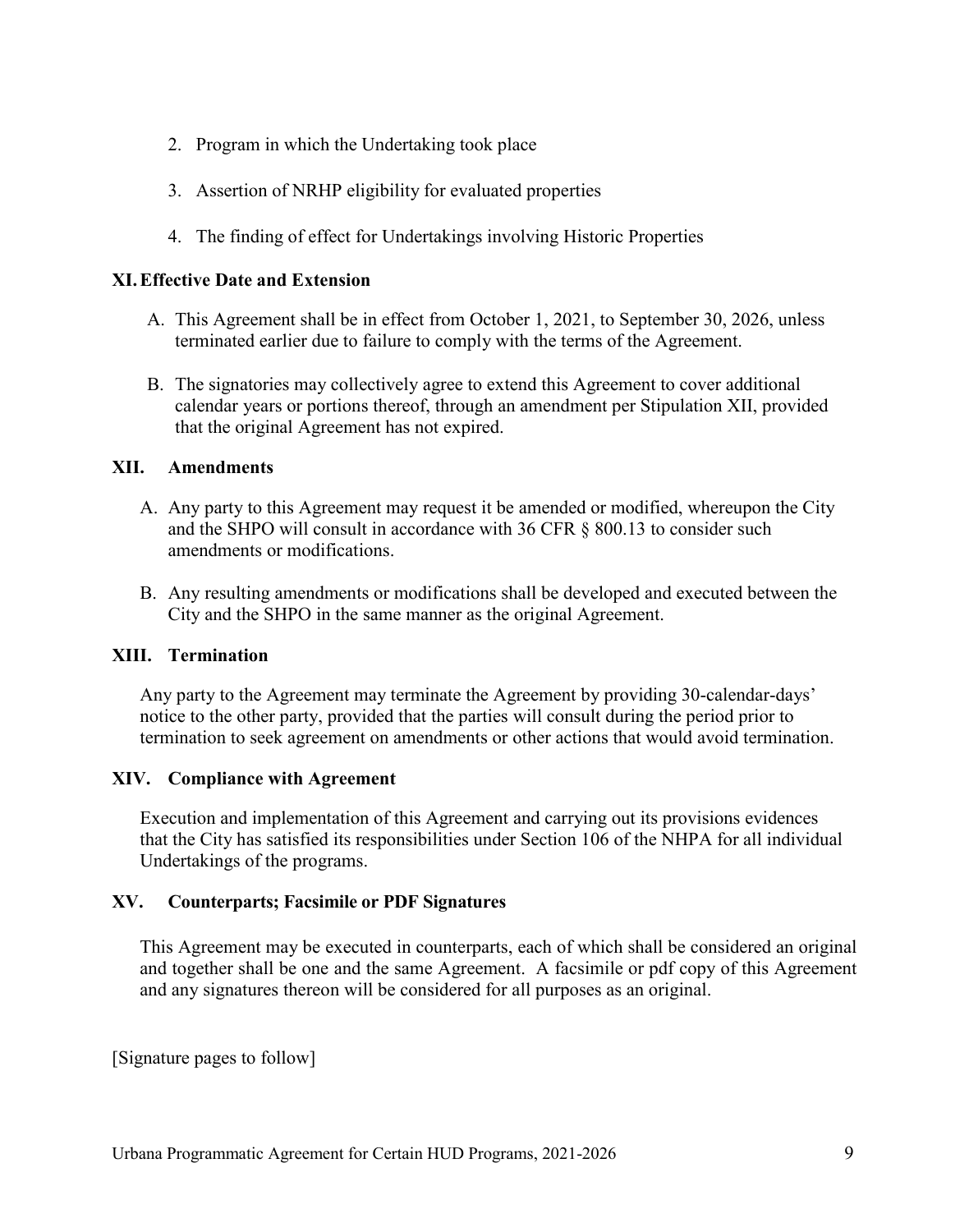- 2. Program in which the Undertaking took place
- 3. Assertion of NRHP eligibility for evaluated properties
- 4. The finding of effect for Undertakings involving Historic Properties

### **XI.Effective Date and Extension**

- A. This Agreement shall be in effect from October 1, 2021, to September 30, 2026, unless terminated earlier due to failure to comply with the terms of the Agreement.
- B. The signatories may collectively agree to extend this Agreement to cover additional calendar years or portions thereof, through an amendment per Stipulation XII, provided that the original Agreement has not expired.

### **XII. Amendments**

- A. Any party to this Agreement may request it be amended or modified, whereupon the City and the SHPO will consult in accordance with 36 CFR § 800.13 to consider such amendments or modifications.
- B. Any resulting amendments or modifications shall be developed and executed between the City and the SHPO in the same manner as the original Agreement.

### **XIII. Termination**

Any party to the Agreement may terminate the Agreement by providing 30-calendar-days' notice to the other party, provided that the parties will consult during the period prior to termination to seek agreement on amendments or other actions that would avoid termination.

### **XIV. Compliance with Agreement**

Execution and implementation of this Agreement and carrying out its provisions evidences that the City has satisfied its responsibilities under Section 106 of the NHPA for all individual Undertakings of the programs.

### **XV. Counterparts; Facsimile or PDF Signatures**

This Agreement may be executed in counterparts, each of which shall be considered an original and together shall be one and the same Agreement. A facsimile or pdf copy of this Agreement and any signatures thereon will be considered for all purposes as an original.

[Signature pages to follow]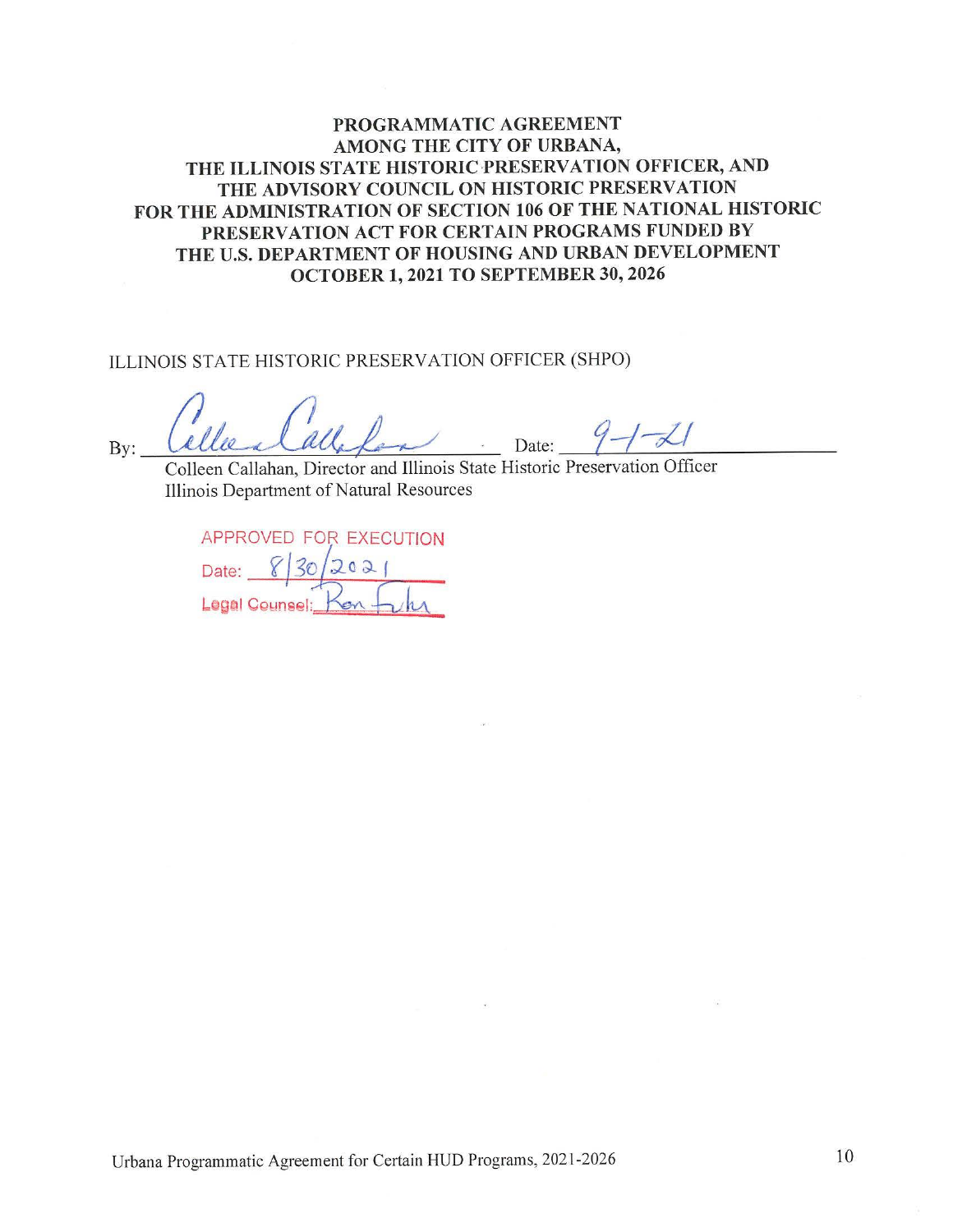## **PROGRAMMATIC AGREEMENT AMONG THE CITY OF URBANA, THE ILLINOIS STATE HISTORIC·PRESERVATION OFFICER, AND THE ADVISORY COUNCIL ON HISTORIC PRESERVATION FOR THE ADMINISTRATION OF SECTION 106 OF THE NATIONAL HISTORIC PRESERVATION ACT FOR CERTAIN PROGRAMS FUNDED BY THE U.S. DEPARTMENT OF HOUSING AND URBAN DEVELOPMENT OCTOBER 1, 2021 TO SEPTEMBER 30, 2026**

ILLINOIS STATE HISTORIC PRESERVATION OFFICER (SHPO)

Callee a Calle Land Illinois State Historic Preservation Officer  $Bv:$ 

Illinois Department of Natural Resources

| APPROVED FOR EXECUTION |  |  |          |
|------------------------|--|--|----------|
| Date:                  |  |  | 830/2021 |
| Legal Counsel:         |  |  |          |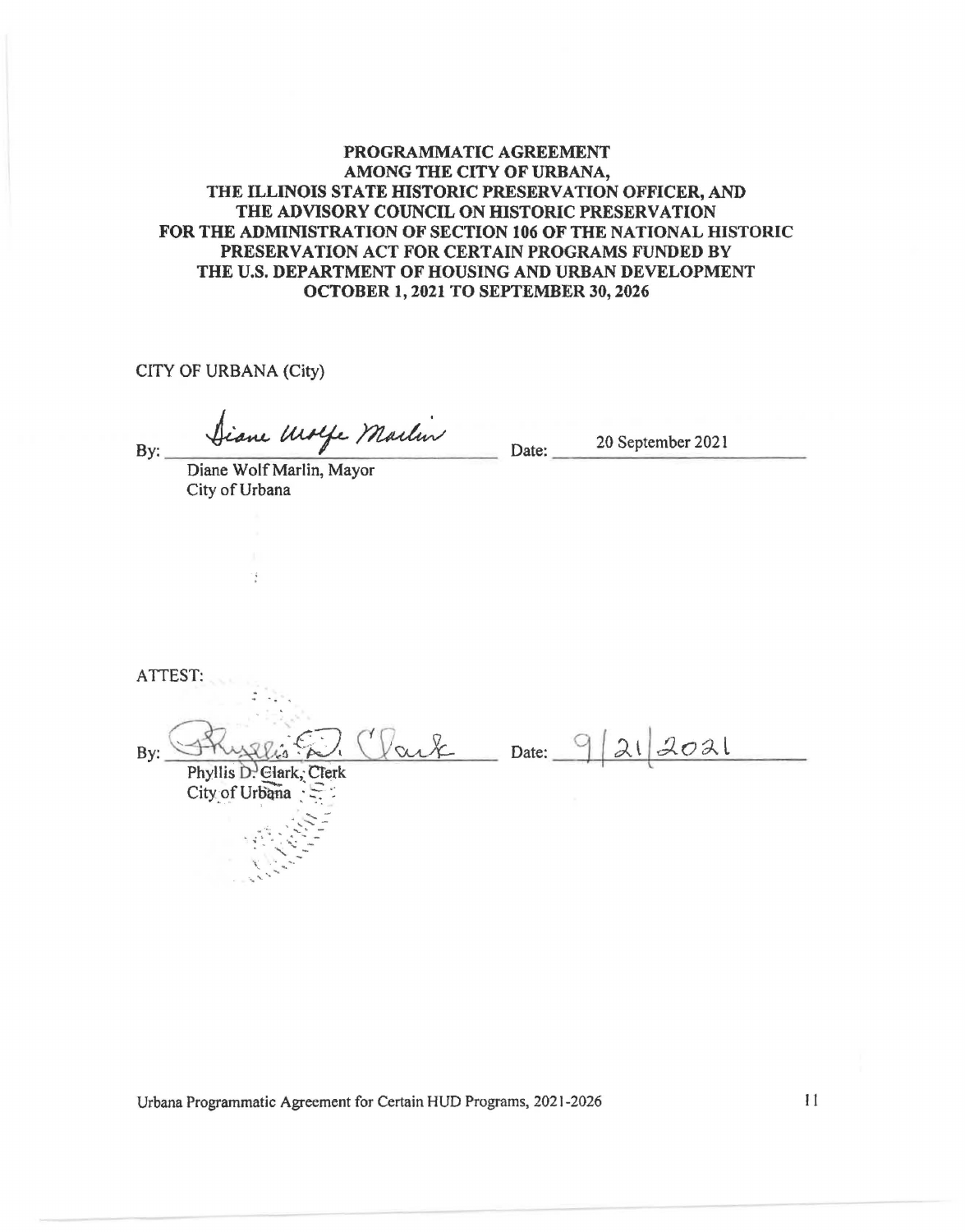#### **PROGRAMMATIC AGREEMENT AMONG THE CITY OF URBANA, THE ILLINOIS STATE ffiSTORIC PRESERVATION OFFICER, AND THE ADVISORY COUNCIL ON ffiSTORIC PRESERVATION FOR THE ADMINISTRATION OF SECTION 106 OF THE NATIONAL HISTORIC PRESERVATION ACT FOR CERTAIN PROGRAMS FUNDED BY THE U.S. DEPARTMENT OF HOUSING AND URBAN DEVELOPMENT OCTOBER 1, 2021 TO SEPTEMBER 30, 2026**

CITY OF URBANA (City)

By: Siane Ulolfe Maelin Date: 20 September 2021

City of Urbana

 $\frac{1}{k}$ 

ATTEST:  $D$  Clark Date: 9/21/2021 By: Phyllis D. Glark, Clerk City of Urbana

Urbana Programmatic Agreement for Certain HUD Programs, 2021-2026 11